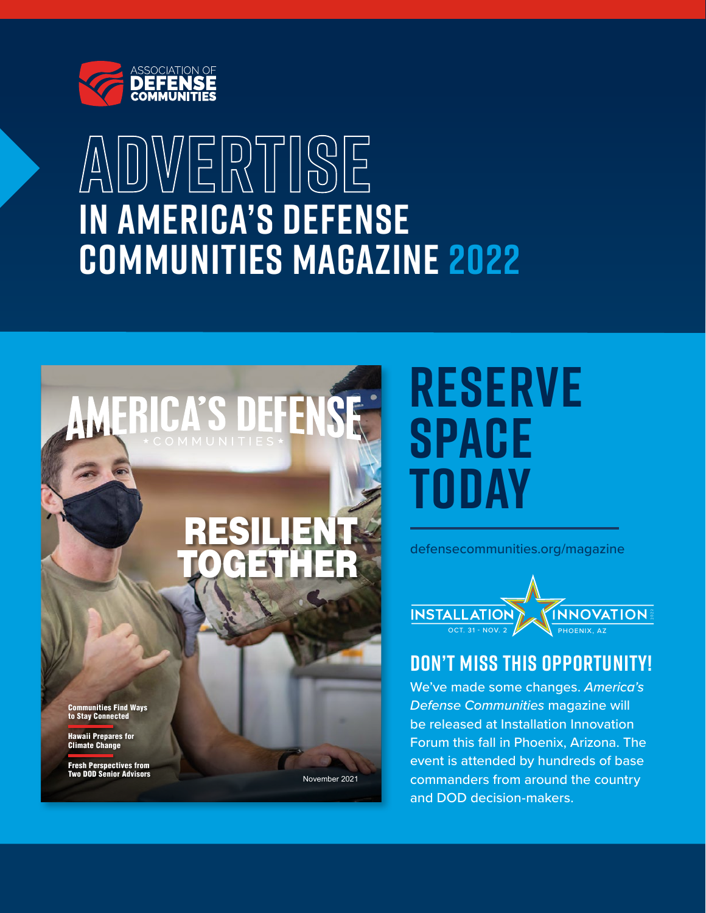

## **ADVERTISE in america's defense communities magazine 2022**



# **reserve space today**

[defensecommunities.org/m](http://defensecommunities.org/magazine)agazine



### **Don't Miss this Opportunity!**

We've made some changes. *America's Defense Communities* magazine will be released at Installation Innovation Forum this fall in Phoenix, Arizona. The event is attended by hundreds of base commanders from around the country and DOD decision-makers.